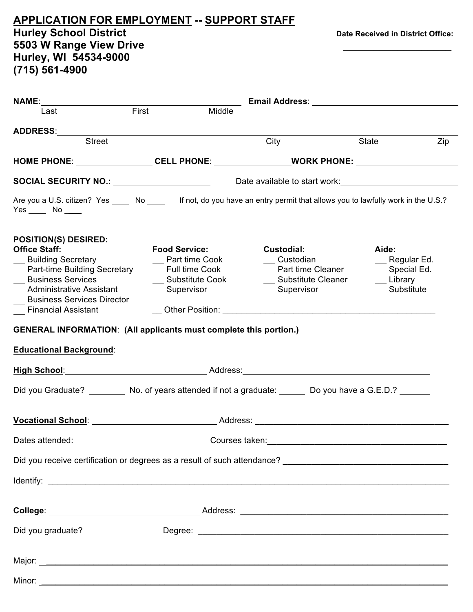| <b>APPLICATION FOR EMPLOYMENT -- SUPPORT STAFF</b><br><b>Hurley School District</b><br>5503 W Range View Drive<br>Hurley, WI 54534-9000<br>(715) 561-4900                                                                                                                                                                                               |                                                                                                   |                                                                                                                                                                                                                                                                                                                                         | Date Received in District Office:                               |
|---------------------------------------------------------------------------------------------------------------------------------------------------------------------------------------------------------------------------------------------------------------------------------------------------------------------------------------------------------|---------------------------------------------------------------------------------------------------|-----------------------------------------------------------------------------------------------------------------------------------------------------------------------------------------------------------------------------------------------------------------------------------------------------------------------------------------|-----------------------------------------------------------------|
| Last                                                                                                                                                                                                                                                                                                                                                    | First<br>Middle                                                                                   |                                                                                                                                                                                                                                                                                                                                         |                                                                 |
| <b>Street</b>                                                                                                                                                                                                                                                                                                                                           |                                                                                                   | City                                                                                                                                                                                                                                                                                                                                    | State<br>Zip                                                    |
| HOME PHONE: __________________CELL PHONE: _______________________WORK PHONE: _______________________                                                                                                                                                                                                                                                    |                                                                                                   |                                                                                                                                                                                                                                                                                                                                         |                                                                 |
|                                                                                                                                                                                                                                                                                                                                                         |                                                                                                   |                                                                                                                                                                                                                                                                                                                                         |                                                                 |
| SOCIAL SECURITY NO.: <i>_________________</i> ______<br>Are you a U.S. citizen? Yes _____ No _____ If not, do you have an entry permit that allows you to lawfully work in the U.S.?<br>$Yes$ No _____                                                                                                                                                  |                                                                                                   | Date available to start work:                                                                                                                                                                                                                                                                                                           |                                                                 |
| <b>POSITION(S) DESIRED:</b><br><b>Office Staff:</b><br>__ Building Secretary<br>__ Part-time Building Secretary<br>__ Business Services<br>__ Administrative Assistant<br><b>Business Services Director</b><br><b>Financial Assistant</b><br><b>GENERAL INFORMATION: (All applicants must complete this portion.)</b><br><b>Educational Background:</b> | Food Service <u>:</u><br>Part time Cook<br><b>Full time Cook</b><br>Substitute Cook<br>Supervisor | <b>Custodial:</b><br>Custodian<br><b>Part time Cleaner</b><br><b>Substitute Cleaner</b><br>Supervisor<br>Other Position: Network and Security and Security and Security and Security and Security and Security and Security and Security and Security and Security and Security and Security and Security and Security and Security and | Aide:<br>__ Regular Ed.<br>Special Ed.<br>Library<br>Substitute |
| <u>High School: Address: Address: Address: Address: Address: Address: Address: Address: Address: Address: Address: Address: Address: Address: Address: Address: Address: Address: Address: Address: Address: Address: Address: A</u>                                                                                                                    |                                                                                                   |                                                                                                                                                                                                                                                                                                                                         |                                                                 |
| Did you Graduate? __________ No. of years attended if not a graduate: ______ Do you have a G.E.D.? _______                                                                                                                                                                                                                                              |                                                                                                   |                                                                                                                                                                                                                                                                                                                                         |                                                                 |
| Vocational School: Note of Address: Note of Address: Note of Address: Note of Address: Note of Address: Note of Address: Note of Address: Note of Address: Note of Address: Note of Address: Note of Address: Note of Address:                                                                                                                          |                                                                                                   |                                                                                                                                                                                                                                                                                                                                         |                                                                 |
|                                                                                                                                                                                                                                                                                                                                                         |                                                                                                   |                                                                                                                                                                                                                                                                                                                                         |                                                                 |
|                                                                                                                                                                                                                                                                                                                                                         |                                                                                                   |                                                                                                                                                                                                                                                                                                                                         |                                                                 |
|                                                                                                                                                                                                                                                                                                                                                         |                                                                                                   |                                                                                                                                                                                                                                                                                                                                         |                                                                 |
|                                                                                                                                                                                                                                                                                                                                                         |                                                                                                   |                                                                                                                                                                                                                                                                                                                                         |                                                                 |
| Did you graduate? Degree: Degree: Degree: 2008                                                                                                                                                                                                                                                                                                          |                                                                                                   |                                                                                                                                                                                                                                                                                                                                         |                                                                 |
|                                                                                                                                                                                                                                                                                                                                                         |                                                                                                   |                                                                                                                                                                                                                                                                                                                                         |                                                                 |

Minor: \_\_\_\_\_\_\_\_\_\_\_\_\_\_\_\_\_\_\_\_\_\_\_\_\_\_\_\_\_\_\_\_\_\_\_\_\_\_\_\_\_\_\_\_\_\_\_\_\_\_\_\_\_\_\_\_\_\_\_\_\_\_\_\_\_\_\_\_\_\_\_\_\_\_\_\_\_\_\_\_\_\_\_\_\_\_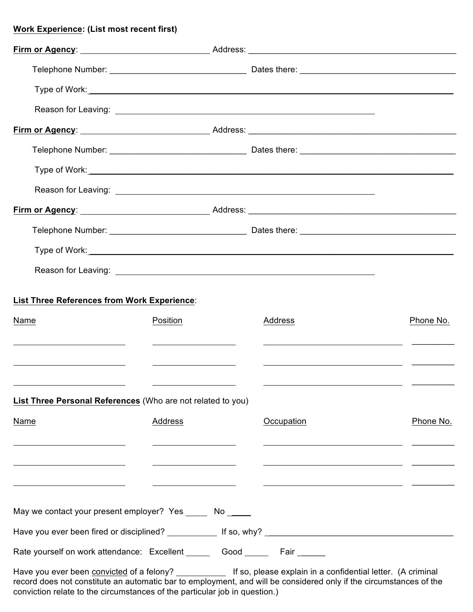## **Work Experience: (List most recent first)**

| Firm or Agency: Address: Address: Address: Address: Address: Address: Address: Address: Address: Address: Address: Address: Address: Address: Address: Address: Address: Address: Address: Address: Address: Address: Address:           |                                                      |                                                                    |           |
|------------------------------------------------------------------------------------------------------------------------------------------------------------------------------------------------------------------------------------------|------------------------------------------------------|--------------------------------------------------------------------|-----------|
|                                                                                                                                                                                                                                          |                                                      |                                                                    |           |
|                                                                                                                                                                                                                                          |                                                      |                                                                    |           |
|                                                                                                                                                                                                                                          |                                                      |                                                                    |           |
|                                                                                                                                                                                                                                          |                                                      |                                                                    |           |
|                                                                                                                                                                                                                                          |                                                      |                                                                    |           |
|                                                                                                                                                                                                                                          |                                                      |                                                                    |           |
|                                                                                                                                                                                                                                          |                                                      |                                                                    |           |
|                                                                                                                                                                                                                                          |                                                      |                                                                    |           |
| List Three References from Work Experience:                                                                                                                                                                                              |                                                      |                                                                    |           |
| Name                                                                                                                                                                                                                                     | Position                                             | Address                                                            | Phone No. |
|                                                                                                                                                                                                                                          | <u> 1990 - Johann Barbara, politik eta politikar</u> |                                                                    |           |
| <u> 1980 - Jan Stein Harry Harry Harry Harry Harry Harry Harry Harry Harry Harry Harry Harry Harry Harry Harry</u>                                                                                                                       |                                                      | <u> 1990 - Jan Barbara (j. 1980)</u>                               |           |
| <u> 1980 - Jan Samuel Barbara, político e a filosofono de la filosofono de la filosofono de la filosofono de la f</u><br>List Three Personal References (Who are not related to you)                                                     |                                                      | <u> 1980 - John Stein, Amerikaansk konstantinopolitik (* 1908)</u> |           |
| Name                                                                                                                                                                                                                                     | Address                                              | Occupation                                                         | Phone No. |
|                                                                                                                                                                                                                                          |                                                      |                                                                    |           |
|                                                                                                                                                                                                                                          |                                                      |                                                                    |           |
|                                                                                                                                                                                                                                          |                                                      |                                                                    |           |
| May we contact your present employer? Yes ______ No _____                                                                                                                                                                                |                                                      |                                                                    |           |
|                                                                                                                                                                                                                                          |                                                      |                                                                    |           |
| Rate yourself on work attendance: Excellent ______ Good ______ Fair ______                                                                                                                                                               |                                                      |                                                                    |           |
| Have you ever been convicted of a felony? ____________ If so, please explain in a confidential letter. (A criminal<br>record does not constitute an automatic bar to employment, and will be considered only if the circumstances of the |                                                      |                                                                    |           |

conviction relate to the circumstances of the particular job in question.)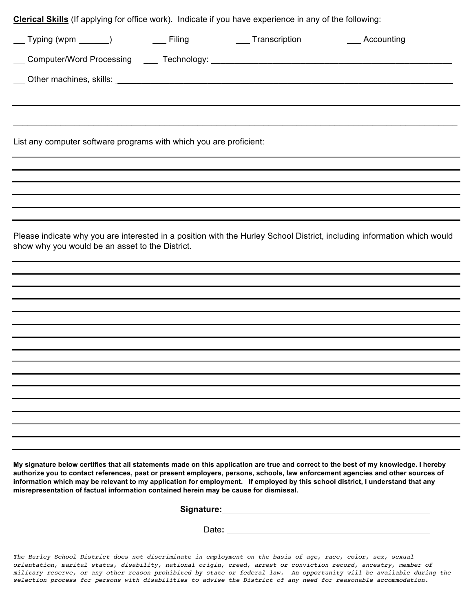| Clerical Skills (If applying for office work). Indicate if you have experience in any of the following: |  |  |                                                                          |                                                                                                                         |
|---------------------------------------------------------------------------------------------------------|--|--|--------------------------------------------------------------------------|-------------------------------------------------------------------------------------------------------------------------|
|                                                                                                         |  |  | __ Typing (wpm _______)      ____ Filing _________________ Transcription | Accounting                                                                                                              |
|                                                                                                         |  |  |                                                                          |                                                                                                                         |
|                                                                                                         |  |  |                                                                          |                                                                                                                         |
|                                                                                                         |  |  |                                                                          |                                                                                                                         |
|                                                                                                         |  |  |                                                                          |                                                                                                                         |
| List any computer software programs with which you are proficient:                                      |  |  |                                                                          |                                                                                                                         |
|                                                                                                         |  |  |                                                                          |                                                                                                                         |
|                                                                                                         |  |  |                                                                          |                                                                                                                         |
|                                                                                                         |  |  |                                                                          |                                                                                                                         |
|                                                                                                         |  |  |                                                                          |                                                                                                                         |
|                                                                                                         |  |  |                                                                          |                                                                                                                         |
| show why you would be an asset to the District.                                                         |  |  |                                                                          | Please indicate why you are interested in a position with the Hurley School District, including information which would |
|                                                                                                         |  |  |                                                                          |                                                                                                                         |
|                                                                                                         |  |  |                                                                          |                                                                                                                         |
|                                                                                                         |  |  |                                                                          |                                                                                                                         |
|                                                                                                         |  |  |                                                                          |                                                                                                                         |
|                                                                                                         |  |  |                                                                          |                                                                                                                         |
|                                                                                                         |  |  |                                                                          |                                                                                                                         |
|                                                                                                         |  |  |                                                                          |                                                                                                                         |
|                                                                                                         |  |  |                                                                          |                                                                                                                         |
|                                                                                                         |  |  |                                                                          |                                                                                                                         |
|                                                                                                         |  |  |                                                                          |                                                                                                                         |
|                                                                                                         |  |  |                                                                          |                                                                                                                         |
|                                                                                                         |  |  |                                                                          |                                                                                                                         |
|                                                                                                         |  |  |                                                                          |                                                                                                                         |
|                                                                                                         |  |  |                                                                          |                                                                                                                         |

**My signature below certifies that all statements made on this application are true and correct to the best of my knowledge. I hereby authorize you to contact references, past or present employers, persons, schools, law enforcement agencies and other sources of information which may be relevant to my application for employment. If employed by this school district, I understand that any misrepresentation of factual information contained herein may be cause for dismissal.**

| <b>Signature:</b> |  |
|-------------------|--|
|                   |  |

Date**:** 

*The Hurley School District does not discriminate in employment on the basis of age, race, color, sex, sexual orientation, marital status, disability, national origin, creed, arrest or conviction record, ancestry, member of military reserve, or any other reason prohibited by state or federal law. An opportunity will be available during the selection process for persons with disabilities to advise the District of any need for reasonable accommodation.*